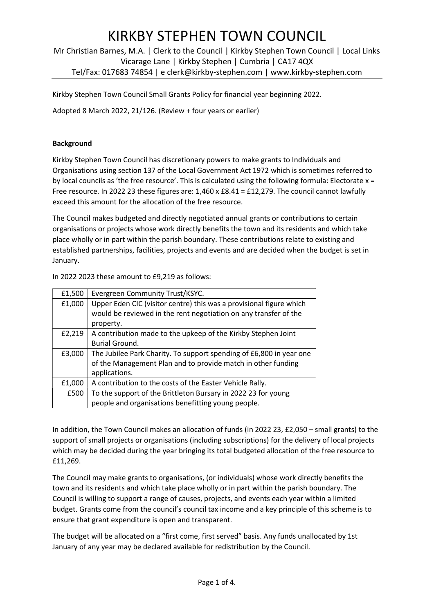Mr Christian Barnes, M.A. | Clerk to the Council | Kirkby Stephen Town Council | Local Links Vicarage Lane | Kirkby Stephen | Cumbria | CA17 4QX Tel/Fax: 017683 74854 | e clerk@kirkby-stephen.com | www.kirkby-stephen.com

Kirkby Stephen Town Council Small Grants Policy for financial year beginning 2022.

Adopted 8 March 2022, 21/126. (Review + four years or earlier)

#### **Background**

Kirkby Stephen Town Council has discretionary powers to make grants to Individuals and Organisations using section 137 of the Local Government Act 1972 which is sometimes referred to by local councils as 'the free resource'. This is calculated using the following formula: Electorate x = Free resource. In 2022 23 these figures are: 1,460 x £8.41 = £12,279. The council cannot lawfully exceed this amount for the allocation of the free resource.

The Council makes budgeted and directly negotiated annual grants or contributions to certain organisations or projects whose work directly benefits the town and its residents and which take place wholly or in part within the parish boundary. These contributions relate to existing and established partnerships, facilities, projects and events and are decided when the budget is set in January.

In 2022 2023 these amount to £9,219 as follows:

| £1,500 | Evergreen Community Trust/KSYC.                                     |
|--------|---------------------------------------------------------------------|
| £1,000 | Upper Eden CIC (visitor centre) this was a provisional figure which |
|        | would be reviewed in the rent negotiation on any transfer of the    |
|        | property.                                                           |
| £2,219 | A contribution made to the upkeep of the Kirkby Stephen Joint       |
|        | Burial Ground.                                                      |
| £3,000 | The Jubilee Park Charity. To support spending of £6,800 in year one |
|        | of the Management Plan and to provide match in other funding        |
|        | applications.                                                       |
| £1,000 | A contribution to the costs of the Easter Vehicle Rally.            |
| £500   | To the support of the Brittleton Bursary in 2022 23 for young       |
|        | people and organisations benefitting young people.                  |

In addition, the Town Council makes an allocation of funds (in 2022 23, £2,050 – small grants) to the support of small projects or organisations (including subscriptions) for the delivery of local projects which may be decided during the year bringing its total budgeted allocation of the free resource to £11,269.

The Council may make grants to organisations, (or individuals) whose work directly benefits the town and its residents and which take place wholly or in part within the parish boundary. The Council is willing to support a range of causes, projects, and events each year within a limited budget. Grants come from the council's council tax income and a key principle of this scheme is to ensure that grant expenditure is open and transparent.

The budget will be allocated on a "first come, first served" basis. Any funds unallocated by 1st January of any year may be declared available for redistribution by the Council.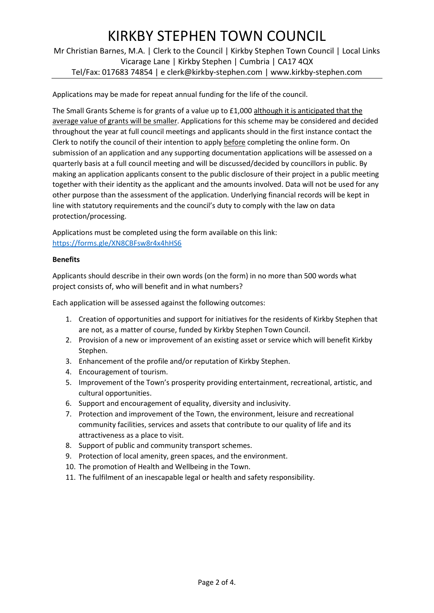Mr Christian Barnes, M.A. | Clerk to the Council | Kirkby Stephen Town Council | Local Links Vicarage Lane | Kirkby Stephen | Cumbria | CA17 4QX Tel/Fax: 017683 74854 | e clerk@kirkby-stephen.com | www.kirkby-stephen.com

Applications may be made for repeat annual funding for the life of the council.

The Small Grants Scheme is for grants of a value up to £1,000 although it is anticipated that the average value of grants will be smaller. Applications for this scheme may be considered and decided throughout the year at full council meetings and applicants should in the first instance contact the Clerk to notify the council of their intention to apply before completing the online form. On submission of an application and any supporting documentation applications will be assessed on a quarterly basis at a full council meeting and will be discussed/decided by councillors in public. By making an application applicants consent to the public disclosure of their project in a public meeting together with their identity as the applicant and the amounts involved. Data will not be used for any other purpose than the assessment of the application. Underlying financial records will be kept in line with statutory requirements and the council's duty to comply with the law on data protection/processing.

Applications must be completed using the form available on this link: https://forms.gle/XN8CBFsw8r4x4hHS6

#### Benefits

Applicants should describe in their own words (on the form) in no more than 500 words what project consists of, who will benefit and in what numbers?

Each application will be assessed against the following outcomes:

- 1. Creation of opportunities and support for initiatives for the residents of Kirkby Stephen that are not, as a matter of course, funded by Kirkby Stephen Town Council.
- 2. Provision of a new or improvement of an existing asset or service which will benefit Kirkby Stephen.
- 3. Enhancement of the profile and/or reputation of Kirkby Stephen.
- 4. Encouragement of tourism.
- 5. Improvement of the Town's prosperity providing entertainment, recreational, artistic, and cultural opportunities.
- 6. Support and encouragement of equality, diversity and inclusivity.
- 7. Protection and improvement of the Town, the environment, leisure and recreational community facilities, services and assets that contribute to our quality of life and its attractiveness as a place to visit.
- 8. Support of public and community transport schemes.
- 9. Protection of local amenity, green spaces, and the environment.
- 10. The promotion of Health and Wellbeing in the Town.
- 11. The fulfilment of an inescapable legal or health and safety responsibility.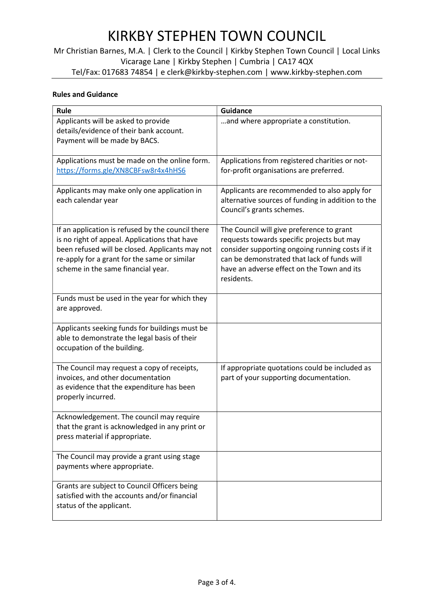Mr Christian Barnes, M.A. | Clerk to the Council | Kirkby Stephen Town Council | Local Links Vicarage Lane | Kirkby Stephen | Cumbria | CA17 4QX Tel/Fax: 017683 74854 | e clerk@kirkby-stephen.com | www.kirkby-stephen.com

### Rules and Guidance

| Rule                                                                                                                                                                                                                                        | <b>Guidance</b>                                                                                                                                                                                                                                       |  |
|---------------------------------------------------------------------------------------------------------------------------------------------------------------------------------------------------------------------------------------------|-------------------------------------------------------------------------------------------------------------------------------------------------------------------------------------------------------------------------------------------------------|--|
| Applicants will be asked to provide<br>details/evidence of their bank account.<br>Payment will be made by BACS.                                                                                                                             | and where appropriate a constitution.                                                                                                                                                                                                                 |  |
| Applications must be made on the online form.<br>https://forms.gle/XN8CBFsw8r4x4hHS6                                                                                                                                                        | Applications from registered charities or not-<br>for-profit organisations are preferred.                                                                                                                                                             |  |
| Applicants may make only one application in<br>each calendar year                                                                                                                                                                           | Applicants are recommended to also apply for<br>alternative sources of funding in addition to the<br>Council's grants schemes.                                                                                                                        |  |
| If an application is refused by the council there<br>is no right of appeal. Applications that have<br>been refused will be closed. Applicants may not<br>re-apply for a grant for the same or similar<br>scheme in the same financial year. | The Council will give preference to grant<br>requests towards specific projects but may<br>consider supporting ongoing running costs if it<br>can be demonstrated that lack of funds will<br>have an adverse effect on the Town and its<br>residents. |  |
| Funds must be used in the year for which they<br>are approved.                                                                                                                                                                              |                                                                                                                                                                                                                                                       |  |
| Applicants seeking funds for buildings must be<br>able to demonstrate the legal basis of their<br>occupation of the building.                                                                                                               |                                                                                                                                                                                                                                                       |  |
| The Council may request a copy of receipts,<br>invoices, and other documentation<br>as evidence that the expenditure has been<br>properly incurred.                                                                                         | If appropriate quotations could be included as<br>part of your supporting documentation.                                                                                                                                                              |  |
| Acknowledgement. The council may require<br>that the grant is acknowledged in any print or<br>press material if appropriate.                                                                                                                |                                                                                                                                                                                                                                                       |  |
| The Council may provide a grant using stage<br>payments where appropriate.                                                                                                                                                                  |                                                                                                                                                                                                                                                       |  |
| Grants are subject to Council Officers being<br>satisfied with the accounts and/or financial<br>status of the applicant.                                                                                                                    |                                                                                                                                                                                                                                                       |  |